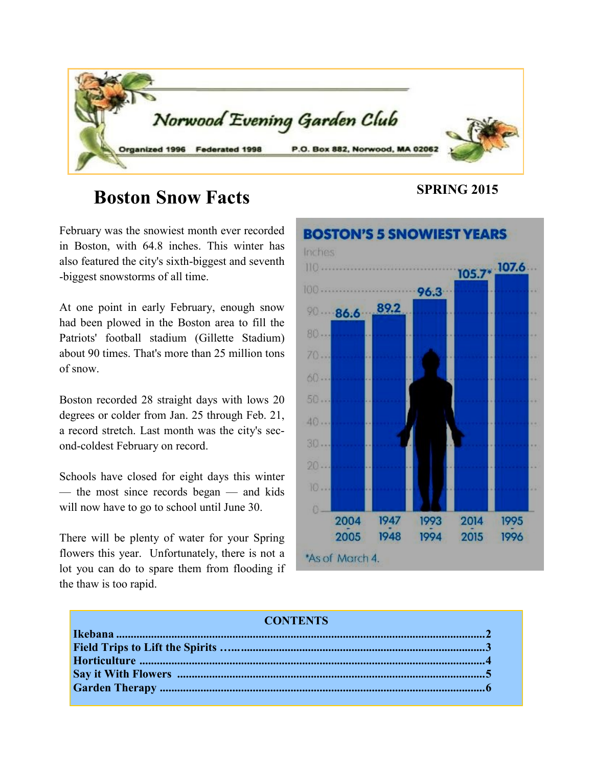

# **SPRING 2015 Boston Snow Facts**

February was the snowiest month ever recorded in Boston, with 64.8 inches. This winter has also featured the city's sixth-biggest and seventh -biggest snowstorms of all time.

At one point in early February, enough snow had been plowed in the Boston area to fill the Patriots' football stadium (Gillette Stadium) about 90 times. That's more than 25 million tons of snow.

Boston recorded 28 straight days with lows 20 degrees or colder from Jan. 25 through Feb. 21, a record stretch. Last month was the city's second-coldest February on record.

Schools have closed for eight days this winter — the most since records began — and kids will now have to go to school until June 30.

There will be plenty of water for your Spring flowers this year. Unfortunately, there is not a lot you can do to spare them from flooding if the thaw is too rapid.



#### **CONTENTS**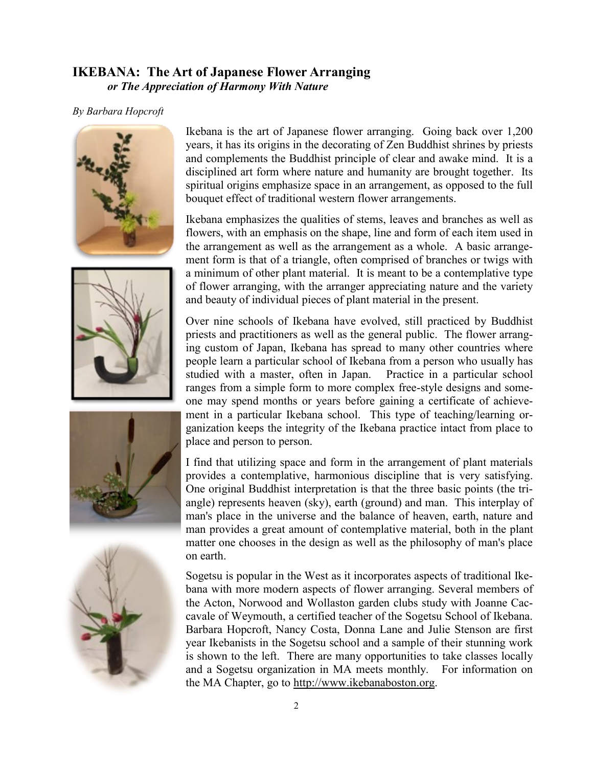#### **IKEBANA: The Art of Japanese Flower Arranging** *or The Appreciation of Harmony With Nature*

#### *By Barbara Hopcroft*









Ikebana is the art of Japanese flower arranging. Going back over 1,200 years, it has its origins in the decorating of Zen Buddhist shrines by priests and complements the Buddhist principle of clear and awake mind. It is a disciplined art form where nature and humanity are brought together. Its spiritual origins emphasize space in an arrangement, as opposed to the full bouquet effect of traditional western flower arrangements.

Ikebana emphasizes the qualities of stems, leaves and branches as well as flowers, with an emphasis on the shape, line and form of each item used in the arrangement as well as the arrangement as a whole. A basic arrangement form is that of a triangle, often comprised of branches or twigs with a minimum of other plant material. It is meant to be a contemplative type of flower arranging, with the arranger appreciating nature and the variety and beauty of individual pieces of plant material in the present.

Over nine schools of Ikebana have evolved, still practiced by Buddhist priests and practitioners as well as the general public. The flower arranging custom of Japan, Ikebana has spread to many other countries where people learn a particular school of Ikebana from a person who usually has studied with a master, often in Japan. Practice in a particular school ranges from a simple form to more complex free-style designs and someone may spend months or years before gaining a certificate of achievement in a particular Ikebana school. This type of teaching/learning organization keeps the integrity of the Ikebana practice intact from place to place and person to person.

I find that utilizing space and form in the arrangement of plant materials provides a contemplative, harmonious discipline that is very satisfying. One original Buddhist interpretation is that the three basic points (the triangle) represents heaven (sky), earth (ground) and man. This interplay of man's place in the universe and the balance of heaven, earth, nature and man provides a great amount of contemplative material, both in the plant matter one chooses in the design as well as the philosophy of man's place on earth.

Sogetsu is popular in the West as it incorporates aspects of traditional Ikebana with more modern aspects of flower arranging. Several members of the Acton, Norwood and Wollaston garden clubs study with Joanne Caccavale of Weymouth, a certified teacher of the Sogetsu School of Ikebana. Barbara Hopcroft, Nancy Costa, Donna Lane and Julie Stenson are first year Ikebanists in the Sogetsu school and a sample of their stunning work is shown to the left. There are many opportunities to take classes locally and a Sogetsu organization in MA meets monthly. For information on the MA Chapter, go to http://www.ikebanaboston.org.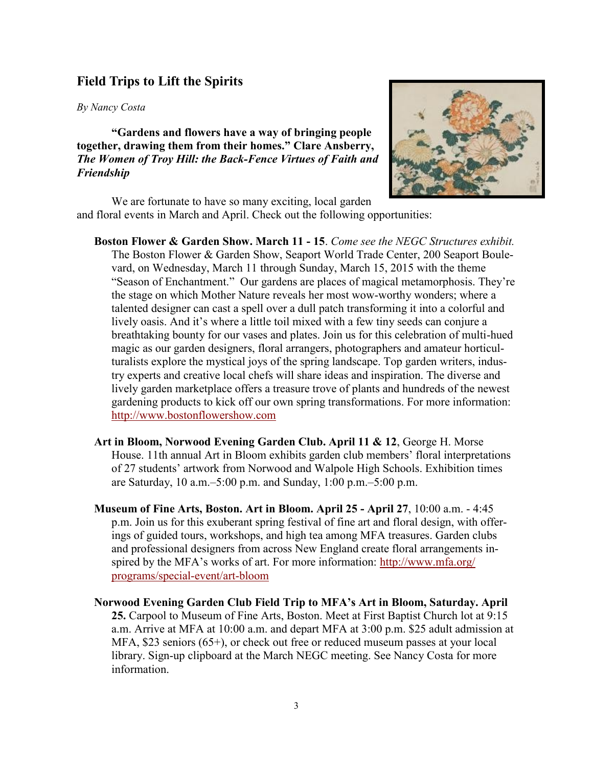#### **Field Trips to Lift the Spirits**

#### *By Nancy Costa*

**"Gardens and flowers have a way of bringing people together, drawing them from their homes." Clare Ansberry,** *The Women of Troy Hill: the Back-Fence Virtues of Faith and Friendship*



We are fortunate to have so many exciting, local garden and floral events in March and April. Check out the following opportunities:

- **Boston Flower & Garden Show. March 11 - 15**. *Come see the NEGC Structures exhibit.* The Boston Flower & Garden Show, Seaport World Trade Center, 200 Seaport Boulevard, on Wednesday, March 11 through Sunday, March 15, 2015 with the theme "Season of Enchantment." Our gardens are places of magical metamorphosis. They're the stage on which Mother Nature reveals her most wow-worthy wonders; where a talented designer can cast a spell over a dull patch transforming it into a colorful and lively oasis. And it's where a little toil mixed with a few tiny seeds can conjure a breathtaking bounty for our vases and plates. Join us for this celebration of multi-hued magic as our garden designers, floral arrangers, photographers and amateur horticulturalists explore the mystical joys of the spring landscape. Top garden writers, industry experts and creative local chefs will share ideas and inspiration. The diverse and lively garden marketplace offers a treasure trove of plants and hundreds of the newest gardening products to kick off our own spring transformations. For more information: <http://www.bostonflowershow.com>
- **Art in Bloom, Norwood Evening Garden Club. April 11 & 12**, George H. Morse House. 11th annual Art in Bloom exhibits garden club members' floral interpretations of 27 students' artwork from Norwood and Walpole High Schools. Exhibition times are Saturday, 10 a.m.–5:00 p.m. and Sunday, 1:00 p.m.–5:00 p.m.
- **Museum of Fine Arts, Boston. Art in Bloom. April 25 - April 27**, 10:00 a.m. 4:45 p.m. Join us for this exuberant spring festival of fine art and floral design, with offerings of guided tours, workshops, and high tea among MFA treasures. Garden clubs and professional designers from across New England create floral arrangements inspired by the MFA's works of art. For more information: [http://www.mfa.org/](http://www.mfa.org/programs/special-event/art-bloom) [programs/special-event/art-bloom](http://www.mfa.org/programs/special-event/art-bloom)
- **Norwood Evening Garden Club Field Trip to MFA's Art in Bloom, Saturday. April 25.** Carpool to Museum of Fine Arts, Boston. Meet at First Baptist Church lot at 9:15 a.m. Arrive at MFA at 10:00 a.m. and depart MFA at 3:00 p.m. \$25 adult admission at MFA, \$23 seniors (65+), or check out free or reduced museum passes at your local library. Sign-up clipboard at the March NEGC meeting. See Nancy Costa for more information.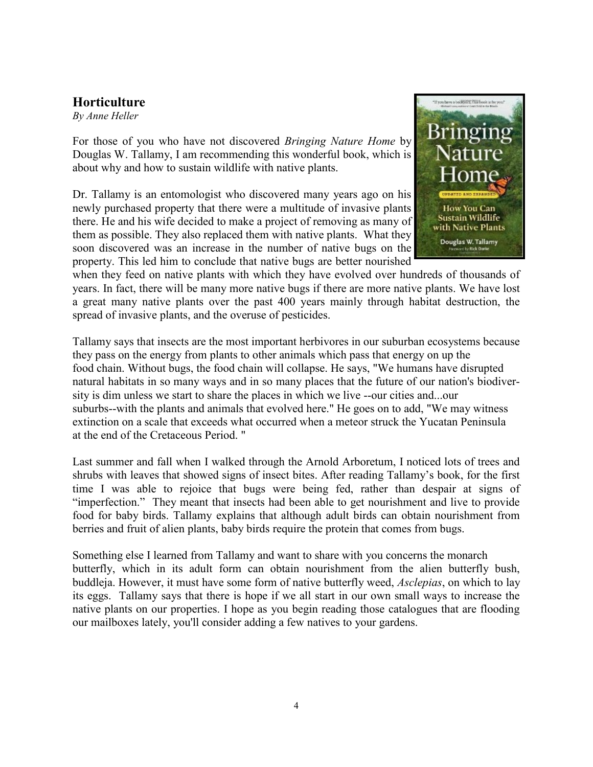## **Horticulture**

*By Anne Heller*

For those of you who have not discovered *Bringing Nature Home* by Douglas W. Tallamy, I am recommending this wonderful book, which is about why and how to sustain wildlife with native plants.

Dr. Tallamy is an entomologist who discovered many years ago on his newly purchased property that there were a multitude of invasive plants there. He and his wife decided to make a project of removing as many of them as possible. They also replaced them with native plants. What they soon discovered was an increase in the number of native bugs on the property. This led him to conclude that native bugs are better nourished



when they feed on native plants with which they have evolved over hundreds of thousands of years. In fact, there will be many more native bugs if there are more native plants. We have lost a great many native plants over the past 400 years mainly through habitat destruction, the spread of invasive plants, and the overuse of pesticides.

Tallamy says that insects are the most important herbivores in our suburban ecosystems because they pass on the energy from plants to other animals which pass that energy on up the food chain. Without bugs, the food chain will collapse. He says, "We humans have disrupted natural habitats in so many ways and in so many places that the future of our nation's biodiversity is dim unless we start to share the places in which we live --our cities and...our suburbs--with the plants and animals that evolved here." He goes on to add, "We may witness extinction on a scale that exceeds what occurred when a meteor struck the Yucatan Peninsula at the end of the Cretaceous Period. "

Last summer and fall when I walked through the Arnold Arboretum, I noticed lots of trees and shrubs with leaves that showed signs of insect bites. After reading Tallamy's book, for the first time I was able to rejoice that bugs were being fed, rather than despair at signs of "imperfection." They meant that insects had been able to get nourishment and live to provide food for baby birds. Tallamy explains that although adult birds can obtain nourishment from berries and fruit of alien plants, baby birds require the protein that comes from bugs.

Something else I learned from Tallamy and want to share with you concerns the monarch butterfly, which in its adult form can obtain nourishment from the alien butterfly bush, buddleja. However, it must have some form of native butterfly weed, *Asclepias*, on which to lay its eggs. Tallamy says that there is hope if we all start in our own small ways to increase the native plants on our properties. I hope as you begin reading those catalogues that are flooding our mailboxes lately, you'll consider adding a few natives to your gardens.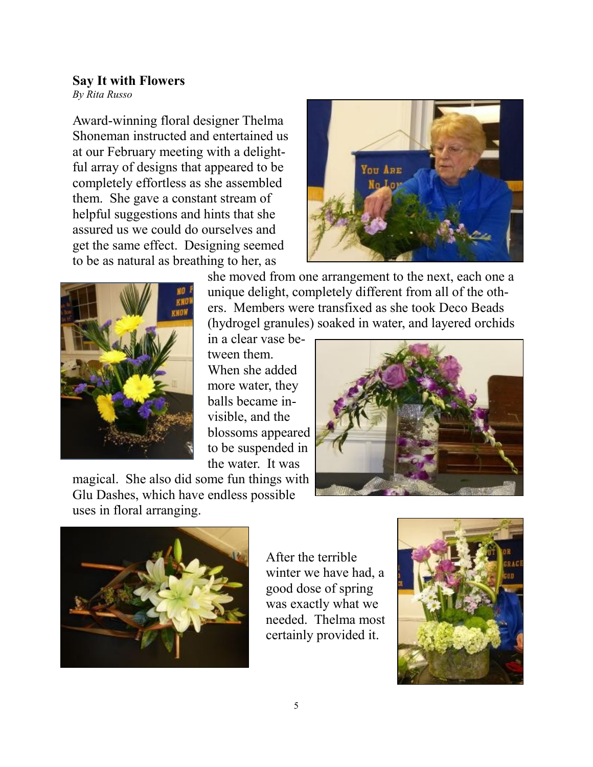### **Say It with Flowers**

*By Rita Russo*

Award-winning floral designer Thelma Shoneman instructed and entertained us at our February meeting with a delightful array of designs that appeared to be completely effortless as she assembled them. She gave a constant stream of helpful suggestions and hints that she assured us we could do ourselves and get the same effect. Designing seemed to be as natural as breathing to her, as





she moved from one arrangement to the next, each one a unique delight, completely different from all of the others. Members were transfixed as she took Deco Beads (hydrogel granules) soaked in water, and layered orchids

in a clear vase between them. When she added more water, they balls became invisible, and the blossoms appeared

to be suspended in the water. It was

magical. She also did some fun things with Glu Dashes, which have endless possible uses in floral arranging.





After the terrible winter we have had, a good dose of spring was exactly what we needed. Thelma most certainly provided it.